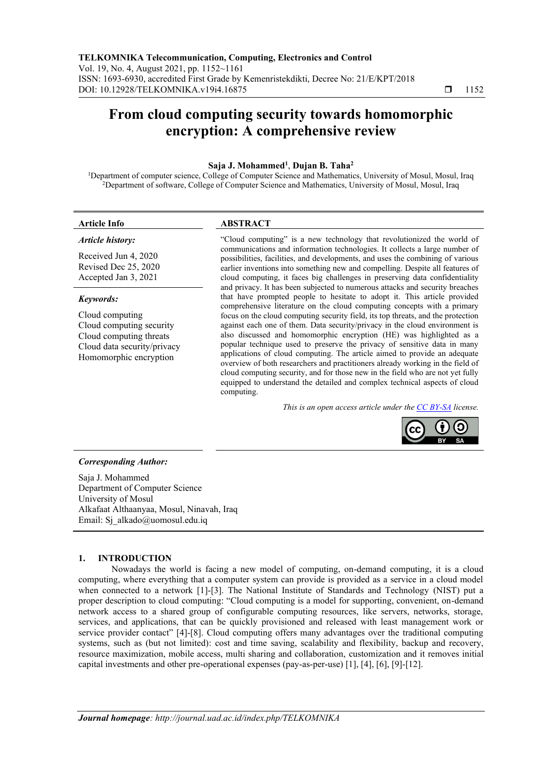# **From cloud computing security towards homomorphic encryption: A comprehensive review**

#### **Saja J. Mohammed 1** , **Dujan B. Taha<sup>2</sup>**

<sup>1</sup>Department of computer science, College of Computer Science and Mathematics, University of Mosul, Mosul, Iraq <sup>2</sup>Department of software, College of Computer Science and Mathematics, University of Mosul, Mosul, Iraq

#### **Article Info ABSTRACT**

## *Article history:*

Received Jun 4, 2020 Revised [Dec 25, 2020](https://www.edas.info/time.php?t=1600697572) Accepted Jan 3, 2021

#### *Keywords:*

Cloud computing Cloud computing security Cloud computing threats Cloud data security/privacy Homomorphic encryption

"Cloud computing" is a new technology that revolutionized the world of communications and information technologies. It collects a large number of possibilities, facilities, and developments, and uses the combining of various earlier inventions into something new and compelling. Despite all features of cloud computing, it faces big challenges in preserving data confidentiality and privacy. It has been subjected to numerous attacks and security breaches that have prompted people to hesitate to adopt it. This article provided comprehensive literature on the cloud computing concepts with a primary focus on the cloud computing security field, its top threats, and the protection against each one of them. Data security/privacy in the cloud environment is also discussed and homomorphic encryption (HE) was highlighted as a popular technique used to preserve the privacy of sensitive data in many applications of cloud computing. The article aimed to provide an adequate overview of both researchers and practitioners already working in the field of cloud computing security, and for those new in the field who are not yet fully equipped to understand the detailed and complex technical aspects of cloud computing.

*This is an open access article under the [CC BY-SA](https://creativecommons.org/licenses/by-sa/4.0/) license.*



#### *Corresponding Author:*

Saja J. Mohammed Department of Computer Science University of Mosul Alkafaat Althaanyaa, Mosul, Ninavah, Iraq Email: [Sj\\_alkado@uomosul.edu.iq](mailto:Sj_alkado@uomosul.edu.iq)

#### **1. INTRODUCTION**

Nowadays the world is facing a new model of computing, on-demand computing, it is a cloud computing, where everything that a computer system can provide is provided as a service in a cloud model when connected to a network [1]-[3]. The National Institute of Standards and Technology (NIST) put a proper description to cloud computing: "Cloud computing is a model for supporting, convenient, on-demand network access to a shared group of configurable computing resources, like servers, networks, storage, services, and applications, that can be quickly provisioned and released with least management work or service provider contact" [4]-[8]. Cloud computing offers many advantages over the traditional computing systems, such as (but not limited): cost and time saving, scalability and flexibility, backup and recovery, resource maximization, mobile access, multi sharing and collaboration, customization and it removes initial capital investments and other pre-operational expenses (pay-as-per-use) [1], [4], [6], [9]-[12].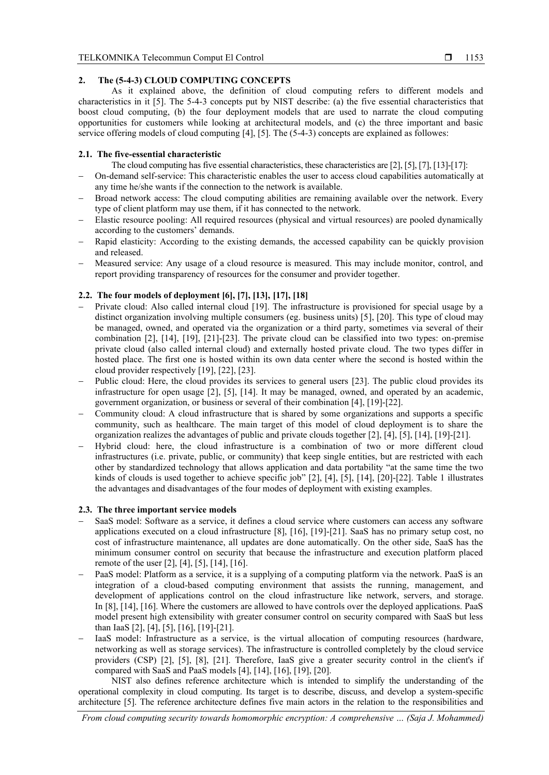#### **2. The (5-4-3) CLOUD COMPUTING CONCEPTS**

As it explained above, the definition of cloud computing refers to different models and characteristics in it [5]. The 5-4-3 concepts put by NIST describe: (a) the five essential characteristics that boost cloud computing, (b) the four deployment models that are used to narrate the cloud computing opportunities for customers while looking at architectural models, and (c) the three important and basic service offering models of cloud computing [4], [5]. The (5-4-3) concepts are explained as followes:

#### **2.1. The five-essential characteristic**

The cloud computing has five essential characteristics, these characteristics are [2], [5], [7], [13]-[17]:

- − On-demand self-service: This characteristic enables the user to access cloud capabilities automatically at any time he/she wants if the connection to the network is available.
- Broad network access: The cloud computing abilities are remaining available over the network. Every type of client platform may use them, if it has connected to the network.
- − Elastic resource pooling: All required resources (physical and virtual resources) are pooled dynamically according to the customers' demands.
- Rapid elasticity: According to the existing demands, the accessed capability can be quickly provision and released.
- − Measured service: Any usage of a cloud resource is measured. This may include monitor, control, and report providing transparency of resources for the consumer and provider together.

### **2.2. The four models of deployment [6], [7], [13], [17], [18]**

- − Private cloud: Also called internal cloud [19]. The infrastructure is provisioned for special usage by a distinct organization involving multiple consumers (eg. business units) [5], [20]. This type of cloud may be managed, owned, and operated via the organization or a third party, sometimes via several of their combination [2], [14], [19], [21]-[23]. The private cloud can be classified into two types: on-premise private cloud (also called internal cloud) and externally hosted private cloud. The two types differ in hosted place. The first one is hosted within its own data center where the second is hosted within the cloud provider respectively [19], [22], [23].
- Public cloud: Here, the cloud provides its services to general users [23]. The public cloud provides its infrastructure for open usage [2], [5], [14]. It may be managed, owned, and operated by an academic, government organization, or business or several of their combination [4], [19]-[22].
- − Community cloud: A cloud infrastructure that is shared by some organizations and supports a specific community, such as healthcare. The main target of this model of cloud deployment is to share the organization realizes the advantages of public and private clouds together [2], [4], [5], [14], [19]-[21].
- Hybrid cloud: here, the cloud infrastructure is a combination of two or more different cloud infrastructures (i.e. private, public, or community) that keep single entities, but are restricted with each other by standardized technology that allows application and data portability "at the same time the two kinds of clouds is used together to achieve specific job" [2], [4], [5], [14], [20]-[22]. Table 1 illustrates the advantages and disadvantages of the four modes of deployment with existing examples.

#### **2.3. The three important service models**

- SaaS model: Software as a service, it defines a cloud service where customers can access any software applications executed on a cloud infrastructure [8], [16], [19]-[21]. SaaS has no primary setup cost, no cost of infrastructure maintenance, all updates are done automatically. On the other side, SaaS has the minimum consumer control on security that because the infrastructure and execution platform placed remote of the user [2], [4], [5], [14], [16].
- PaaS model: Platform as a service, it is a supplying of a computing platform via the network. PaaS is an integration of a cloud-based computing environment that assists the running, management, and development of applications control on the cloud infrastructure like network, servers, and storage. In [8], [14], [16]. Where the customers are allowed to have controls over the deployed applications. PaaS model present high extensibility with greater consumer control on security compared with SaaS but less than IaaS [2], [4], [5], [16], [19]-[21].
- IaaS model: Infrastructure as a service, is the virtual allocation of computing resources (hardware, networking as well as storage services). The infrastructure is controlled completely by the cloud service providers (CSP) [2], [5], [8], [21]. Therefore, IaaS give a greater security control in the client's if compared with SaaS and PaaS models [4], [14], [16], [19], [20].

NIST also defines reference architecture which is intended to simplify the understanding of the operational complexity in cloud computing. Its target is to describe, discuss, and develop a system-specific architecture [5]. The reference architecture defines five main actors in the relation to the responsibilities and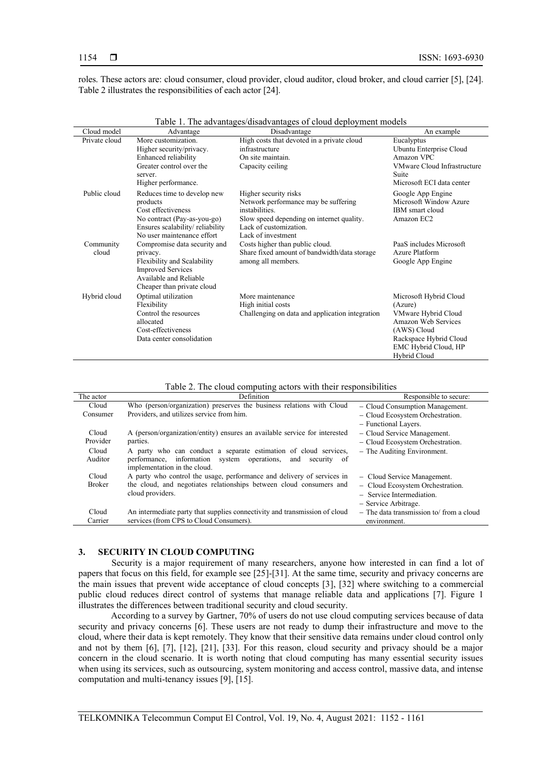roles. These actors are: cloud consumer, cloud provider, cloud auditor, cloud broker, and cloud carrier [5], [24]. Table 2 illustrates the responsibilities of each actor [24].

| Cloud model        | Advantage                                                                                                                                                     | Disadvantage                                                                                                                                                                 | An example                                                                                                                                                       |
|--------------------|---------------------------------------------------------------------------------------------------------------------------------------------------------------|------------------------------------------------------------------------------------------------------------------------------------------------------------------------------|------------------------------------------------------------------------------------------------------------------------------------------------------------------|
| Private cloud      | More customization.<br>Higher security/privacy.<br>Enhanced reliability<br>Greater control over the<br>server.<br>Higher performance.                         | High costs that devoted in a private cloud<br>infrastructure<br>On site maintain.<br>Capacity ceiling                                                                        | Eucalyptus<br>Ubuntu Enterprise Cloud<br>Amazon VPC<br><b>VMware Cloud Infrastructure</b><br>Suite<br>Microsoft ECI data center                                  |
| Public cloud       | Reduces time to develop new<br>products<br>Cost effectiveness<br>No contract (Pay-as-you-go)<br>Ensures scalability/reliability<br>No user maintenance effort | Higher security risks<br>Network performance may be suffering<br>instabilities.<br>Slow speed depending on internet quality.<br>Lack of customization.<br>Lack of investment | Google App Engine<br>Microsoft Window Azure<br>IBM smart cloud<br>Amazon EC2                                                                                     |
| Community<br>cloud | Compromise data security and<br>privacy.<br>Flexibility and Scalability<br><b>Improved Services</b><br>Available and Reliable<br>Cheaper than private cloud   | Costs higher than public cloud.<br>Share fixed amount of bandwidth/data storage<br>among all members.                                                                        | PaaS includes Microsoft<br>Azure Platform<br>Google App Engine                                                                                                   |
| Hybrid cloud       | Optimal utilization<br>Flexibility<br>Control the resources<br>allocated<br>Cost-effectiveness<br>Data center consolidation                                   | More maintenance<br>High initial costs<br>Challenging on data and application integration                                                                                    | Microsoft Hybrid Cloud<br>(Azure)<br>VMware Hybrid Cloud<br>Amazon Web Services<br>(AWS) Cloud<br>Rackspace Hybrid Cloud<br>EMC Hybrid Cloud, HP<br>Hybrid Cloud |

Table 1. The advantages/disadvantages of cloud deployment models

Table 2. The cloud computing actors with their responsibilities

| The actor     | Definition                                                                 | Responsible to secure:                    |
|---------------|----------------------------------------------------------------------------|-------------------------------------------|
| Cloud         | Who (person/organization) preserves the business relations with Cloud      | - Cloud Consumption Management.           |
| Consumer      | Providers, and utilizes service from him.                                  | - Cloud Ecosystem Orchestration.          |
|               |                                                                            | - Functional Layers.                      |
| Cloud         | A (person/organization/entity) ensures an available service for interested | - Cloud Service Management.               |
| Provider      | parties.                                                                   | - Cloud Ecosystem Orchestration.          |
| Cloud         | A party who can conduct a separate estimation of cloud services,           | - The Auditing Environment.               |
| Auditor       | performance, information system operations, and<br>security of             |                                           |
|               | implementation in the cloud.                                               |                                           |
| Cloud         | A party who control the usage, performance and delivery of services in     | - Cloud Service Management.               |
| <b>Broker</b> | the cloud, and negotiates relationships between cloud consumers and        | - Cloud Ecosystem Orchestration.          |
|               | cloud providers.                                                           | - Service Intermediation.                 |
|               |                                                                            | - Service Arbitrage.                      |
| Cloud         | An intermediate party that supplies connectivity and transmission of cloud | $-$ The data transmission to/from a cloud |
| Carrier       | services (from CPS to Cloud Consumers).                                    | environment.                              |

#### **3. SECURITY IN CLOUD COMPUTING**

Security is a major requirement of many researchers, anyone how interested in can find a lot of papers that focus on this field, for example see [25]-[31]. At the same time, security and privacy concerns are the main issues that prevent wide acceptance of cloud concepts [3], [32] where switching to a commercial public cloud reduces direct control of systems that manage reliable data and applications [7]. Figure 1 illustrates the differences between traditional security and cloud security.

According to a survey by Gartner, 70% of users do not use cloud computing services because of data security and privacy concerns [6]. These users are not ready to dump their infrastructure and move to the cloud, where their data is kept remotely. They know that their sensitive data remains under cloud control only and not by them [6], [7], [12], [21], [33]. For this reason, cloud security and privacy should be a major concern in the cloud scenario. It is worth noting that cloud computing has many essential security issues when using its services, such as outsourcing, system monitoring and access control, massive data, and intense computation and multi-tenancy issues [9], [15].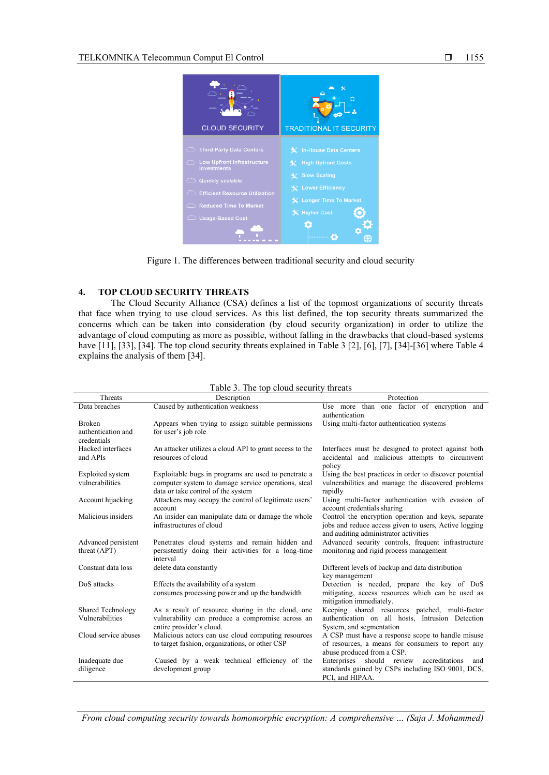

Figure 1. The differences between traditional security and cloud security

#### **4. TOP CLOUD SECURITY THREATS**

diligence

development group

The Cloud Security Alliance (CSA) defines a list of the topmost organizations of security threats that face when trying to use cloud services. As this list defined, the top security threats summarized the concerns which can be taken into consideration (by cloud security organization) in order to utilize the advantage of cloud computing as more as possible, without falling in the drawbacks that cloud-based systems have [11], [33], [34]. The top cloud security threats explained in Table 3 [2], [6], [7], [34]-[36] where Table 4 explains the analysis of them [34].

| Threats                  | $10000$ $\sigma$ . The top eloud became,<br>Description | Protection                                              |  |  |
|--------------------------|---------------------------------------------------------|---------------------------------------------------------|--|--|
| Data breaches            | Caused by authentication weakness                       | Use more than one factor of encryption and              |  |  |
|                          |                                                         | authentication                                          |  |  |
| <b>Broken</b>            | Appears when trying to assign suitable permissions      | Using multi-factor authentication systems               |  |  |
| authentication and       | for user's job role                                     |                                                         |  |  |
| credentials              |                                                         |                                                         |  |  |
| Hacked interfaces        | An attacker utilizes a cloud API to grant access to the | Interfaces must be designed to protect against both     |  |  |
| and APIs                 | resources of cloud                                      | accidental and malicious attempts to circumvent         |  |  |
|                          |                                                         | policy                                                  |  |  |
| <b>Exploited</b> system  | Exploitable bugs in programs are used to penetrate a    | Using the best practices in order to discover potential |  |  |
| vulnerabilities          | computer system to damage service operations, steal     | vulnerabilities and manage the discovered problems      |  |  |
|                          | data or take control of the system                      | rapidly                                                 |  |  |
| Account hijacking        | Attackers may occupy the control of legitimate users'   | Using multi-factor authentication with evasion of       |  |  |
|                          | account                                                 | account credentials sharing                             |  |  |
| Malicious insiders       | An insider can manipulate data or damage the whole      | Control the encryption operation and keys, separate     |  |  |
|                          | infrastructures of cloud                                | jobs and reduce access given to users, Active logging   |  |  |
|                          |                                                         | and auditing administrator activities                   |  |  |
| Advanced persistent      | Penetrates cloud systems and remain hidden and          | Advanced security controls, frequent infrastructure     |  |  |
| threat (APT)             | persistently doing their activities for a long-time     | monitoring and rigid process management                 |  |  |
|                          | interval                                                |                                                         |  |  |
| Constant data loss       | delete data constantly                                  | Different levels of backup and data distribution        |  |  |
|                          |                                                         | key management                                          |  |  |
| DoS attacks              | Effects the availability of a system                    | Detection is needed, prepare the key of DoS             |  |  |
|                          | consumes processing power and up the bandwidth          | mitigating, access resources which can be used as       |  |  |
|                          |                                                         | mitigation immediately.                                 |  |  |
| <b>Shared Technology</b> | As a result of resource sharing in the cloud, one       | Keeping shared resources patched, multi-factor          |  |  |
| Vulnerabilities          | vulnerability can produce a compromise across an        | authentication on all hosts, Intrusion Detection        |  |  |
|                          | entire provider's cloud.                                | System, and segmentation                                |  |  |
| Cloud service abuses     | Malicious actors can use cloud computing resources      | A CSP must have a response scope to handle misuse       |  |  |
|                          | to target fashion, organizations, or other CSP          | of resources, a means for consumers to report any       |  |  |
|                          |                                                         | abuse produced from a CSP.                              |  |  |
| Inadequate due           | Caused by a weak technical efficiency of the            | Enterprises should review<br>accreditations<br>and      |  |  |

Table 3. The top cloud security threats

*From cloud computing security towards homomorphic encryption: A comprehensive … (Saja J. Mohammed)*

standards gained by CSPs including ISO 9001, DCS,

PCI, and HIPAA.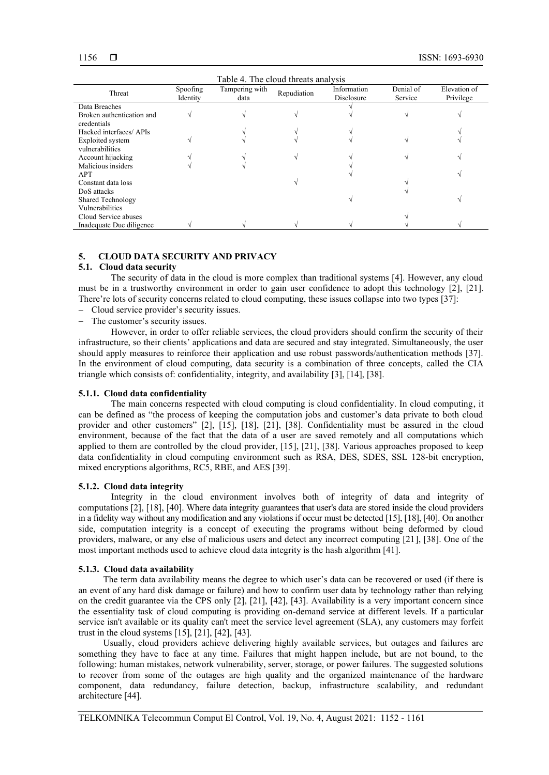| Table 4. The cloud threats analysis |                      |                        |             |                           |                      |                           |
|-------------------------------------|----------------------|------------------------|-------------|---------------------------|----------------------|---------------------------|
| Threat                              | Spoofing<br>Identity | Tampering with<br>data | Repudiation | Information<br>Disclosure | Denial of<br>Service | Elevation of<br>Privilege |
| Data Breaches                       |                      |                        |             |                           |                      |                           |
| Broken authentication and           |                      |                        |             |                           |                      |                           |
| credentials                         |                      |                        |             |                           |                      |                           |
| Hacked interfaces/ APIs             |                      |                        |             |                           |                      |                           |
| Exploited system                    |                      |                        |             |                           |                      |                           |
| vulnerabilities                     |                      |                        |             |                           |                      |                           |
| Account hijacking                   |                      |                        |             |                           |                      |                           |
| Malicious insiders                  |                      |                        |             |                           |                      |                           |
| <b>APT</b>                          |                      |                        |             |                           |                      |                           |
| Constant data loss                  |                      |                        |             |                           |                      |                           |
| DoS attacks                         |                      |                        |             |                           |                      |                           |
| <b>Shared Technology</b>            |                      |                        |             |                           |                      |                           |
| Vulnerabilities                     |                      |                        |             |                           |                      |                           |
| Cloud Service abuses                |                      |                        |             |                           |                      |                           |
| Inadequate Due diligence            |                      |                        |             |                           |                      |                           |

#### **5. CLOUD DATA SECURITY AND PRIVACY**

### **5.1. Cloud data security**

The security of data in the cloud is more complex than traditional systems [4]. However, any cloud must be in a trustworthy environment in order to gain user confidence to adopt this technology [2], [21]. There're lots of security concerns related to cloud computing, these issues collapse into two types [37]:

- − Cloud service provider's security issues.
- The customer's security issues.

However, in order to offer reliable services, the cloud providers should confirm the security of their infrastructure, so their clients' applications and data are secured and stay integrated. Simultaneously, the user should apply measures to reinforce their application and use robust passwords/authentication methods [37]. In the environment of cloud computing, data security is a combination of three concepts, called the CIA triangle which consists of: confidentiality, integrity, and availability [3], [14], [38].

#### **5.1.1. Cloud data confidentiality**

The main concerns respected with cloud computing is cloud confidentiality. In cloud computing, it can be defined as "the process of keeping the computation jobs and customer's data private to both cloud provider and other customers" [2], [15], [18], [21], [38]. Confidentiality must be assured in the cloud environment, because of the fact that the data of a user are saved remotely and all computations which applied to them are controlled by the cloud provider, [15], [21], [38]. Various approaches proposed to keep data confidentiality in cloud computing environment such as RSA, DES, SDES, SSL 128-bit encryption, mixed encryptions algorithms, RC5, RBE, and AES [39].

#### **5.1.2. Cloud data integrity**

Integrity in the cloud environment involves both of integrity of data and integrity of computations [2], [18], [40]. Where data integrity guarantees that user's data are stored inside the cloud providers in a fidelity way without any modification and any violations if occur must be detected [15], [18], [40]. On another side, computation integrity is a concept of executing the programs without being deformed by cloud providers, malware, or any else of malicious users and detect any incorrect computing [21], [38]. One of the most important methods used to achieve cloud data integrity is the hash algorithm [41].

#### **5.1.3. Cloud data availability**

The term data availability means the degree to which user's data can be recovered or used (if there is an event of any hard disk damage or failure) and how to confirm user data by technology rather than relying on the credit guarantee via the CPS only [2], [21], [42], [43]. Availability is a very important concern since the essentiality task of cloud computing is providing on-demand service at different levels. If a particular service isn't available or its quality can't meet the service level agreement (SLA), any customers may forfeit trust in the cloud systems [15], [21], [42], [43].

Usually, cloud providers achieve delivering highly available services, but outages and failures are something they have to face at any time. Failures that might happen include, but are not bound, to the following: human mistakes, network vulnerability, server, storage, or power failures. The suggested solutions to recover from some of the outages are high quality and the organized maintenance of the hardware component, data redundancy, failure detection, backup, infrastructure scalability, and redundant architecture [44].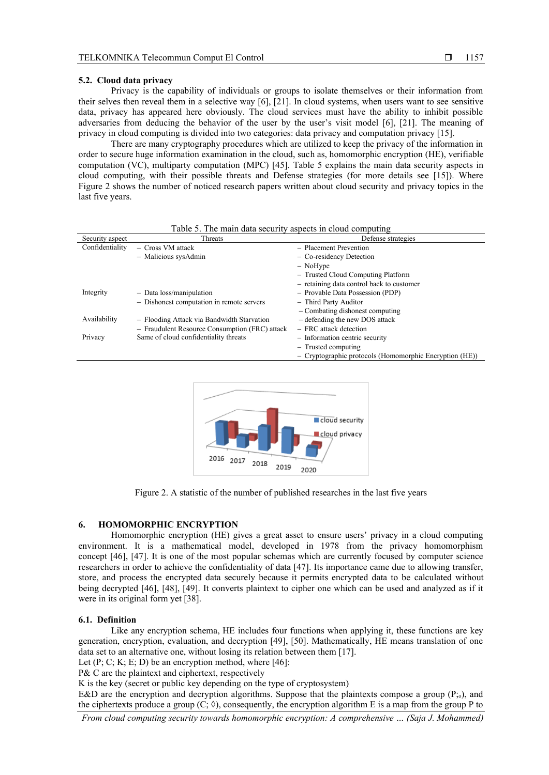#### **5.2. Cloud data privacy**

Privacy is the capability of individuals or groups to isolate themselves or their information from their selves then reveal them in a selective way [6], [21]. In cloud systems, when users want to see sensitive data, privacy has appeared here obviously. The cloud services must have the ability to inhibit possible adversaries from deducing the behavior of the user by the user's visit model [6], [21]. The meaning of privacy in cloud computing is divided into two categories: data privacy and computation privacy [15].

There are many cryptography procedures which are utilized to keep the privacy of the information in order to secure huge information examination in the cloud, such as, homomorphic encryption (HE), verifiable computation (VC), multiparty computation (MPC) [45]. Table 5 explains the main data security aspects in cloud computing, with their possible threats and Defense strategies (for more details see [15]). Where Figure 2 shows the number of noticed research papers written about cloud security and privacy topics in the last five years.

| Security aspect | $1.001$ $\sigma$ . The main along became, appears in crown comparing<br>Threats | Defense strategies                                        |
|-----------------|---------------------------------------------------------------------------------|-----------------------------------------------------------|
|                 |                                                                                 |                                                           |
| Confidentiality | - Cross VM attack                                                               | - Placement Prevention                                    |
|                 | - Malicious sysAdmin                                                            | - Co-residency Detection                                  |
|                 |                                                                                 | $-$ NoHype                                                |
|                 |                                                                                 | - Trusted Cloud Computing Platform                        |
|                 |                                                                                 | - retaining data control back to customer                 |
| Integrity       | $-$ Data loss/manipulation                                                      | - Provable Data Possession (PDP)                          |
|                 | - Dishonest computation in remote servers                                       | - Third Party Auditor                                     |
|                 |                                                                                 | - Combating dishonest computing                           |
| Availability    | - Flooding Attack via Bandwidth Starvation                                      | - defending the new DOS attack                            |
|                 | - Fraudulent Resource Consumption (FRC) attack                                  | - FRC attack detection                                    |
| Privacy         | Same of cloud confidentiality threats                                           | - Information centric security                            |
|                 |                                                                                 | $-$ Trusted computing                                     |
|                 |                                                                                 | $-$ Cryptographic protocols (Homomorphic Encryption (HE)) |

Table 5. The main data security aspects in cloud computing



Figure 2. A statistic of the number of published researches in the last five years

#### **6. HOMOMORPHIC ENCRYPTION**

Homomorphic encryption (HE) gives a great asset to ensure users' privacy in a cloud computing environment. It is a mathematical model, developed in 1978 from the privacy homomorphism concept [46], [47]. It is one of the most popular schemas which are currently focused by computer science researchers in order to achieve the confidentiality of data [47]. Its importance came due to allowing transfer, store, and process the encrypted data securely because it permits encrypted data to be calculated without being decrypted [46], [48], [49]. It converts plaintext to cipher one which can be used and analyzed as if it were in its original form yet [38].

#### **6.1. Definition**

Like any encryption schema, HE includes four functions when applying it, these functions are key generation, encryption, evaluation, and decryption [49], [50]. Mathematically, HE means translation of one data set to an alternative one, without losing its relation between them [17].

Let  $(P; C; K; E; D)$  be an encryption method, where  $[46]$ :

P& C are the plaintext and ciphertext, respectively

K is the key (secret or public key depending on the type of cryptosystem)

E&D are the encryption and decryption algorithms. Suppose that the plaintexts compose a group  $(P_{i_0})$ , and the ciphertexts produce a group  $(C; \Diamond)$ , consequently, the encryption algorithm E is a map from the group P to

*From cloud computing security towards homomorphic encryption: A comprehensive … (Saja J. Mohammed)*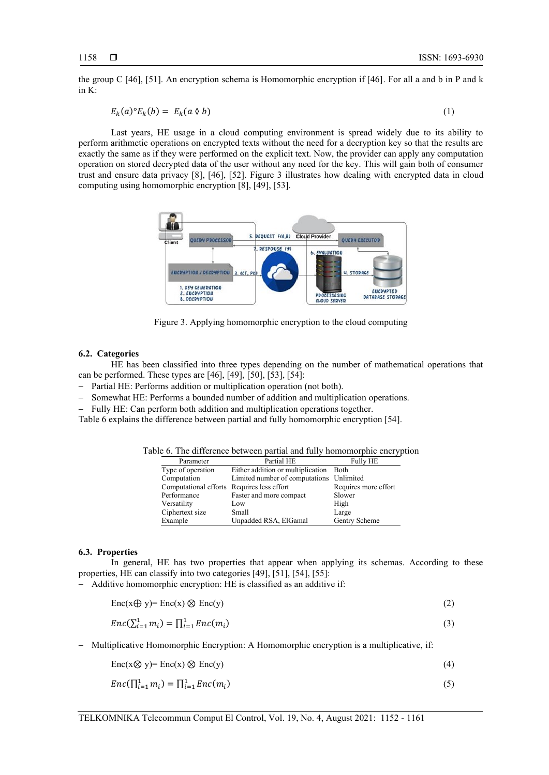the group C [46], [51]. An encryption schema is Homomorphic encryption if [46]. For all a and b in P and k in K:

$$
E_k(a)^{\circ} E_k(b) = E_k(a \land b) \tag{1}
$$

Last years, HE usage in a cloud computing environment is spread widely due to its ability to perform arithmetic operations on encrypted texts without the need for a decryption key so that the results are exactly the same as if they were performed on the explicit text. Now, the provider can apply any computation operation on stored decrypted data of the user without any need for the key. This will gain both of consumer trust and ensure data privacy [8], [46], [52]. Figure 3 illustrates how dealing with encrypted data in cloud computing using homomorphic encryption [8], [49], [53].



Figure 3. Applying homomorphic encryption to the cloud computing

#### **6.2. Categories**

HE has been classified into three types depending on the number of mathematical operations that can be performed. These types are [46], [49], [50], [53], [54]:

- − Partial HE: Performs addition or multiplication operation (not both).
- Somewhat HE: Performs a bounded number of addition and multiplication operations.
- − Fully HE: Can perform both addition and multiplication operations together.

Table 6 explains the difference between partial and fully homomorphic encryption [54].

Table 6. The difference between partial and fully homomorphic encryption

| Parameter                                  | Partial HE                               | <b>Fully HE</b>      |
|--------------------------------------------|------------------------------------------|----------------------|
| Type of operation                          | Either addition or multiplication Both   |                      |
| Computation                                | Limited number of computations Unlimited |                      |
| Computational efforts Requires less effort |                                          | Requires more effort |
| Performance                                | Faster and more compact                  | Slower               |
| Versatility                                | Low                                      | High                 |
| Ciphertext size                            | Small                                    | Large                |
| Example                                    | Unpadded RSA, ElGamal                    | Gentry Scheme        |

#### **6.3. Properties**

In general, HE has two properties that appear when applying its schemas. According to these properties, HE can classify into two categories [49], [51], [54], [55]:

− Additive homomorphic encryption: HE is classified as an additive if:

$$
Enc(x \oplus y) = Enc(x) \otimes Enc(y)
$$
 (2)

$$
Enc(\sum_{i=1}^{1} m_i) = \prod_{i=1}^{1} Enc(m_i)
$$
 (3)

− Multiplicative Homomorphic Encryption: A Homomorphic encryption is a multiplicative, if:

$$
Enc(x \otimes y) = Enc(x) \otimes Enc(y)
$$
\n(4)

$$
Enc(\prod_{i=1}^{1} m_i) = \prod_{i=1}^{1} Enc(m_i)
$$
\n(5)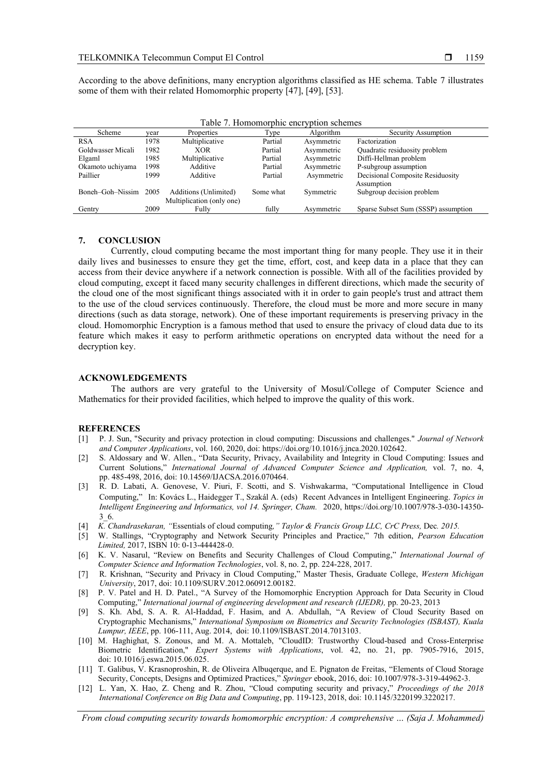Boneh–Goh–Nissim 2005 Additions (Unlimited)

Multiplication (only one)<br>Fully

| Table 7. Homomorphic encryption schemes |      |                |         |            |                               |  |
|-----------------------------------------|------|----------------|---------|------------|-------------------------------|--|
| Scheme                                  | vear | Properties     | Type    | Algorithm  | Security Assumption           |  |
| <b>RSA</b>                              | 1978 | Multiplicative | Partial | Asymmetric | Factorization                 |  |
| Goldwasser Micali                       | 1982 | <b>XOR</b>     | Partial | Asymmetric | Quadratic residuosity problem |  |
| Elgaml                                  | 1985 | Multiplicative | Partial | Asymmetric | Diffi-Hellman problem         |  |

Gentry 2009 Fully Fully Asymmetric Sparse Subset Sum (SSSP) assumption

Okamoto uchiyama 1998 Additive Partial Asymmetric P-subgroup assumption<br>
Paillier 1999 Additive Partial Asymmetric Decisional Composite F

According to the above definitions, many encryption algorithms classified as HE schema. Table 7 illustrates some of them with their related Homomorphic property [47], [49], [53].

#### **7. CONCLUSION**

Currently, cloud computing became the most important thing for many people. They use it in their daily lives and businesses to ensure they get the time, effort, cost, and keep data in a place that they can access from their device anywhere if a network connection is possible. With all of the facilities provided by cloud computing, except it faced many security challenges in different directions, which made the security of the cloud one of the most significant things associated with it in order to gain people's trust and attract them to the use of the cloud services continuously. Therefore, the cloud must be more and more secure in many directions (such as data storage, network). One of these important requirements is preserving privacy in the cloud. Homomorphic Encryption is a famous method that used to ensure the privacy of cloud data due to its feature which makes it easy to perform arithmetic operations on encrypted data without the need for a decryption key.

#### **ACKNOWLEDGEMENTS**

The authors are very grateful to the University of Mosul/College of Computer Science and Mathematics for their provided facilities, which helped to improve the quality of this work.

#### **REFERENCES**

- [1] P. J. Sun, "Security and privacy protection in cloud computing: Discussions and challenges." *Journal of Network and Computer Applications*, vol. 160, 2020, doi: [https://doi.org/10.1016/j.jnca.2020.102642.](https://doi.org/10.1016/j.jnca.2020.102642)
- [2] S. Aldossary and W. Allen., "Data Security, Privacy, Availability and Integrity in Cloud Computing: Issues and Current Solutions," *International Journal of Advanced Computer Science and Application,* vol. 7, no. 4, pp. 485-498, 2016, doi: 10.14569/IJACSA.2016.070464.
- [3] [R. D. Labati,](https://www.researchgate.net/profile/Ruggero_Labati?_sg%5B0%5D=SOIkEqCZerdoDY7lcAN8hAUUQqzaly-nLjcLOV3BM7-HM6LKmrrs7NHYjF2fkxlxAgYnYI4.UCdPnnEajaEqcMYgwkwtL9wE_9fRsJHqZXN54OUqjfVRvfty0RSVXv9fkV3ZcQJBnVEtAE3tiJ_XoxvzQxT_2A&_sg%5B1%5D=uBd6In9Pg2kAmY_f7dyoAI5EhLU0A5R1BCJ4E7emXFQA6yziNZR-Nwdbw1K9P56XBqLk9eA.lmGmh8_XNdXnYOEiDlMPPkUWfHs65ETNaJOcZCDH7YgaUOf9GrodQq36x_sAIRfrXcuU3es4GBQQpXcc-859CQ) A. Genovese, V. Piuri, F. Scotti, and S. Vishwakarma, "Computational Intelligence in Cloud Computing," In: Kovács L., Haidegger T., Szakál A. (eds) Recent Advances in Intelligent Engineering. *Topics in Intelligent Engineering and Informatics, vol 14. Springer, Cham.* 2020, https://doi.org/10.1007/978-3-030-14350- 3\_6.
- [4] *K. Chandrasekaran, "*Essentials of cloud computing*," Taylor & Francis Group LLC, CrC Press,* Dec*. 2015.*
- [5] W. Stallings, "Cryptography and Network Security Principles and Practice," 7th edition, *Pearson Education Limited,* 2017, ISBN 10: 0-13-444428-0.
- [6] K. V. Nasarul, "Review on Benefits and Security Challenges of Cloud Computing," *International Journal of Computer Science and Information Technologies*, vol. 8, no. 2, pp. 224-228, 2017.
- [7] R. Krishnan, "Security and Privacy in Cloud Computing," Master Thesis, Graduate College, *Western Michigan University*, 2017, doi: 10.1109/SURV.2012.060912.00182.
- [8] P. V. Patel and H. D. Patel., "A Survey of the Homomorphic Encryption Approach for Data Security in Cloud Computing," *International journal of engineering development and research (IJEDR),* pp. 20-23, 2013
- [9] S. Kh. Abd, S. A. R. Al-Haddad, F. Hasim, and A. Abdullah, "A Review of Cloud Security Based on Cryptographic Mechanisms," *International Symposium on Biometrics and Security Technologies (ISBAST), Kuala Lumpur, IEEE*, pp. 106-111, Aug. 2014, doi: [10.1109/ISBAST.2014.7013103.](https://doi.org/10.1109/ISBAST.2014.7013103)
- [10] M. Haghighat, S. Zonous, and M. A. Mottaleb, "CloudID: Trustworthy Cloud-based and Cross-Enterprise Biometric Identification," *Expert Systems with Applications*, vol. 42, no. 21, pp. 7905-7916, 2015, doi: 10.1016/j.eswa.2015.06.025.
- [11] T. Galibus, V. Krasnoproshin, R. de Oliveira Albuqerque, and E. Pignaton de Freitas, "Elements of Cloud Storage Security, Concepts, Designs and Optimized Practices," *Springer* ebook, 2016, doi: 10.1007/978-3-319-44962-3.
- [12] L. Yan, X. [Hao,](https://dl.acm.org/profile/99659286598) Z. [Cheng](https://dl.acm.org/profile/99659287628) and R. [Zhou](https://dl.acm.org/profile/99659287529), "Cloud computing security and privacy," *Proceedings of the 2018 International Conference on Big Data and Computing*, pp. 119-123, 2018, doi: 10.1145/3220199.3220217.

Decisional Composite Residuosity

Assumption

Some what Symmetric Subgroup decision problem

1159

*From cloud computing security towards homomorphic encryption: A comprehensive … (Saja J. Mohammed)*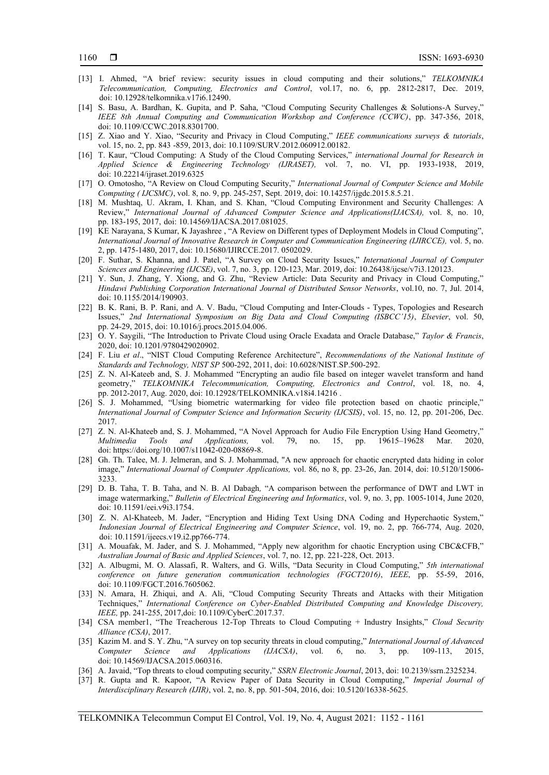- [13] I. Ahmed, "A brief review: security issues in cloud computing and their solutions," *TELKOMNIKA Telecommunication, Computing, Electronics and Control*, vol.17, no. 6, pp. 2812-2817, Dec. 2019, doi: [10.12928/telkomnika.v17i6.12490.](https://www.researchgate.net/deref/http%3A%2F%2Fdx.doi.org%2F10.12928%2Ftelkomnika.v17i6.12490?_sg%5B0%5D=XKA4H1dRG-5UPFPtqA7PuXsEJcP_Stneq9NWs_Zs-Mg9IvZMAzCB6w3md_AbpYFsZB1sxB-Zua6NkyZnaMgDp-XBvA.CjM9fgYxTwaUUSwLlDb5obJsDYUoU1xiszfsurIb1Kgh97cgySwzmLjKD8BjdP_ux_2M1Iwe1SYCVvW65dcr0Q)
- [14] S. Basu, A. Bardhan, K. Gupita, and P. Saha, "Cloud Computing Security Challenges & Solutions-A Survey," *IEEE 8th Annual Computing and Communication Workshop and Conference (CCWC)*, pp. 347-356, 2018, doi: [10.1109/CCWC.2018.8301700.](https://doi.org/10.1109/CCWC.2018.8301700)
- [15] Z. Xiao and Y. Xiao, "Security and Privacy in Cloud Computing," *IEEE communications surveys & tutorials*, vol. 15, no. 2, pp. 843 -859, 2013, doi: 10.1109/SURV.2012.060912.00182.
- [16] T. Kaur, "Cloud Computing: A Study of the Cloud Computing Services," *international Journal for Research in Applied Science & Engineering Technology (IJRASET),* vol. 7, no. VI, pp. 1933-1938, 2019, doi: [10.22214/ijraset.2019.6325](https://www.researchgate.net/deref/http%3A%2F%2Fdx.doi.org%2F10.22214%2Fijraset.2019.6325?_sg%5B0%5D=nifIMacB2N5Gd14XDBKnO_x3dTfBprbQCude_FG0URevicUqK0FNA0xvRuAMBPzVpEWLVg0JYDrLNG4k6Hvnnc69zg._hhSmpXbGkUO84lPGvvksNnqcMkMVOwfYAtDtTdpNWZNsbjVVvRyObOQmNb1V7NsbS3pKBOS4ZW9m73ft-vKkw)
- [17] O. Omotosho, "A Review on Cloud Computing Security," *International Journal of Computer Science and Mobile Computing ( IJCSMC)*, vol. 8, no. 9, pp. 245-257, Sept. 2019, doi: [10.14257/ijgdc.2015.8.5.21.](https://www.researchgate.net/deref/http%3A%2F%2Fdx.doi.org%2F10.14257%2Fijgdc.2015.8.5.21?_sg%5B0%5D=Fsw-mK32SctyUAE_FdKdc_hDFD_vLvgVPQA7KdWq93DIHf9nQGAETQgQlItPqysBli4nBuQNhAjTMArglX-wFsIz3w.tpGj6sCBbtrV_dimeLJJ9uq6-uNHwZQ21Myu32S5WUGJPbCh5WLzOdEnBmrk696lf80YAU2xE7BcrnLWMwYaHw)
- [18] M. Mushtaq, U. Akram, I. Khan, and S. Khan, "Cloud Computing Environment and Security Challenges: A Review," *International Journal of Advanced Computer Science and Applications(IJACSA),* vol. 8, no. 10, pp. 183-195, 2017, doi: [10.14569/IJACSA.2017.081025.](https://www.researchgate.net/deref/http%3A%2F%2Fdx.doi.org%2F10.14569%2FIJACSA.2017.081025?_sg%5B0%5D=Dytyvtb7grW_XJAxwgQZcEcIoNCO24yTlDkQeUyJMxp-j7u-pbU3ft47C__JeKMNosoSO-hff2-g-IdLAh6xdIDNlw.dw120of_xs419lWdqhj0XcxVVnqeycoG4SwMtehwQRYI8ltKcjRs-X7QeHi4Ap8aHIKuflffN5Zoumcbs33p-g)
- [19] KE Narayana, S Kumar, K Jayashree , "A Review on Different types of Deployment Models in Cloud Computing", *International Journal of Innovative Research in Computer and Communication Engineering (IJIRCCE),* vol. 5, no. 2, pp. 1475-1480, 2017, doi: 10.15680/IJIRCCE.2017. 0502029.
- [20] F. Suthar, S. Khanna, and J. Patel, "A Survey on Cloud Security Issues," *International Journal of Computer Sciences and Engineering (IJCSE)*, vol. 7, no. 3, pp. 120-123, Mar. 2019, doi: 10.26438/ijcse/v7i3.120123.
- [21] Y. Sun, J. Zhang, Y. Xiong, and G. Zhu, "Review Article: Data Security and Privacy in Cloud Computing," *Hindawi Publishing Corporation International Journal of Distributed Sensor Networks*, vol.10, no. 7, Jul. 2014, doi: 10.1155/2014/190903.
- [22] B. K. Rani, B. P. Rani, and A. V. Badu, "Cloud Computing and Inter-Clouds Types, Topologies and Research Issues," *2nd International Symposium on Big Data and Cloud Computing (ISBCC'15)*, *Elsevier*, vol. 50, pp. 24-29, 2015, doi: 10.1016/j.procs.2015.04.006.
- [23] O. Y. Saygili, "The Introduction to Private Cloud using Oracle Exadata and Oracle Database," *Taylor & Francis*, 2020, doi[: 10.1201/9780429020902.](https://doi.org/10.1201/9780429020902)
- [24] F. Liu *et al*., "NIST Cloud Computing Reference Architecture", *Recommendations of the National Institute of Standards and Technology, NIST SP* 500-292, 2011, doi[: 10.6028/NIST.SP.500-292.](https://doi.org/10.6028/NIST.SP.500-292)
- [25] Z. N. Al-Kateeb and, S. J. Mohammed "Encrypting an audio file based on integer wavelet transform and hand geometry," *TELKOMNIKA Telecommunication, Computing, Electronics and Control*, vol. 18, no. 4, pp. 2012-2017, Aug. 2020, doi: [10.12928/TELKOMNIKA.v18i4.14216](https://www.researchgate.net/deref/http%3A%2F%2Fdx.doi.org%2F10.12928%2FTELKOMNIKA.v18i4.14216?_sg%5B0%5D=rWigA-lYUQe9DEZRVeNerzDVuD9BiMujXd7hC6H5qiGKnVuxNp3UzVg_l2nWTxkWksAS_5Bg8VWcztmQESxS8rqyRA.eIXtRlcvZx5PezUGH2FR53usUPqFqAC7PTPWEJdL8sih-4cNYdIGavJAbJbzl00x6DLQn0ir9KYYb3NNkLkd2A) .
- [26] S. J. Mohammed, "Using biometric watermarking for video file protection based on chaotic principle," *International Journal of Computer Science and Information Security (IJCSIS)*, vol. 15, no. 12, pp. 201-206, Dec. 2017.
- [27] Z. N. Al-Khateeb and, S. J. Mohammed, "A Novel Approach for Audio File Encryption Using Hand Geometry," *Multimedia Tools and Applications,* vol. 79, no. 15, pp. 19615–19628 Mar. 2020, doi: [https://doi.org/10.1007/s11042-020-08869-8.](https://doi.org/10.1007/s11042-020-08869-8)
- [28] Gh. Th. Talee, M. J. Jelmeran, and S. J. Mohammad, "A new approach for chaotic encrypted data hiding in color image," *International Journal of Computer Applications,* vol. 86, no 8, pp. 23-26, Jan. 2014, doi: [10.5120/15006-](https://www.researchgate.net/deref/http%3A%2F%2Fdx.doi.org%2F10.5120%2F15006-3233?_sg%5B0%5D=U7c70gFm6jlN826mRFdeAb76w_8a12xc9aGB-WeUJpjzScnswiFwR6l7YCQPrN80X2GeMZbAR9kw1szrSl_BhDF0Xg.aCOnDi_JebirKriW9V1knp7qWQafCY9BZ26TcZEbH2cjqL9xk_9DV0LWKYstwPh-R3C09Fo-t6VMGfZTbiQlYA) [3233.](https://www.researchgate.net/deref/http%3A%2F%2Fdx.doi.org%2F10.5120%2F15006-3233?_sg%5B0%5D=U7c70gFm6jlN826mRFdeAb76w_8a12xc9aGB-WeUJpjzScnswiFwR6l7YCQPrN80X2GeMZbAR9kw1szrSl_BhDF0Xg.aCOnDi_JebirKriW9V1knp7qWQafCY9BZ26TcZEbH2cjqL9xk_9DV0LWKYstwPh-R3C09Fo-t6VMGfZTbiQlYA)
- [29] D. B. Taha, T. B. Taha, and N. B. Al Dabagh*,* "A comparison between the performance of DWT and LWT in image watermarking," *Bulletin of Electrical Engineering and Informatics*, vol. 9, no. 3, pp. 1005-1014, June 2020, doi: [10.11591/eei.v9i3.1754](https://www.researchgate.net/deref/http%3A%2F%2Fdx.doi.org%2F10.11591%2Feei.v9i3.1754?_sg%5B0%5D=j6DVYUuewY69XpB4hP80RVxO2zLeS5Hco0Tj3p7dGs1VkiZ2q_1eom6rmnS0bhXQbJ4JwxS8y0JScTg5FCwp_PPyhQ.9nFNnfdUCNU0mJPSP3J7_FzxgHyfn61Is2pZRI7LDA1m_Uld8w-G75k0BFaUu1TJ5Mo8tH0Gp2nK9kdSNbijKA).
- [30] Z. N. Al-Khateeb, M. Jader, "Encryption and Hiding Text Using DNA Coding and Hyperchaotic System," *Indonesian Journal of Electrical Engineering and Computer Science*, vol. 19, no. 2, pp. 766-774, Aug. 2020, doi: 10.11591/ijeecs.v19.i2.pp766-774.
- [31] A. Mouafak, M. Jader, and S. J. Mohammed, "Apply new algorithm for chaotic Encryption using CBC&CFB," *Australian Journal of Basic and Applied Sciences*, vol. 7, no. 12, pp. 221-228, Oct. 2013.
- [32] A. Albugmi, M. O. Alassafi, R. Walters, and G. Wills, "Data Security in Cloud Computing," *5th international conference on future generation communication technologies (FGCT2016)*, *IEEE*, pp. 55-59, 2016, doi: [10.1109/FGCT.2016.7605062.](https://www.researchgate.net/deref/http%3A%2F%2Fdx.doi.org%2F10.1109%2FFGCT.2016.7605062?_sg%5B0%5D=Gco_47zUIdl33-jK6Abv4NHDhdFO1vJMDt2CuTDs6joevAtJ8bgqsqGDpWiCZe8s1vkbk7RVc6NR8VGU6yo4tvk3Ow.Y6dJX-e9yeXbSdYn849Dj4PfUBd-EC1IPCrU-6xAWjwcLtloGq1692vQH2-hqiSDKzBbSZ_a7T1YsN6nilp4wA)
- [33] N. Amara, H. Zhiqui, and A. Ali, "Cloud Computing Security Threats and Attacks with their Mitigation Techniques," *International Conference on Cyber-Enabled Distributed Computing and Knowledge Discovery, IEEE,* pp. 241-255, 2017,doi: [10.1109/CyberC.2017.37.](https://doi.org/10.1109/CyberC.2017.37)
- [34] CSA member1, "The Treacherous 12-Top Threats to Cloud Computing + Industry Insights," *Cloud Security Alliance (CSA)*, 2017.
- [35] Kazim M. and S. Y. Zhu, "A survey on top security threats in cloud computing," *International Journal of Advanced Computer Science and Applications (IJACSA)*, vol. 6, no. 3, pp. 109-113, 2015, doi: [10.14569/IJACSA.2015.060316](https://www.researchgate.net/deref/http%3A%2F%2Fdx.doi.org%2F10.14569%2FIJACSA.2015.060316?_sg%5B0%5D=b4ASFl6rTSpVx4aEDWp4Kxoeua7wa6l6WupiwAUiA4Nqs9AGwRQ07QtF3WLAuzuJ7TR7tRdL1xJfMWb_DuPZBetMZg.i5w1Yp1avv9OCPtZfC0KfrjIk81AJiHkTK7JRm_d9fUn9KHlGk3ESHUIdKc-W4CY5FIJ2DWebQXBFYK98HHQig).
- [36] A. Javaid, "Top threats to cloud computing security," *SSRN Electronic Journal*, 2013, doi: 10.2139/ssrn.2325234.
- [37] R. Gupta and R. Kapoor, "A Review Paper of Data Security in Cloud Computing," *Imperial Journal of Interdisciplinary Research (IJIR)*, vol. 2, no. 8, pp. 501-504, 2016, doi: [10.5120/16338-5625.](https://www.researchgate.net/deref/http%3A%2F%2Fdx.doi.org%2F10.5120%2F16338-5625?_sg%5B0%5D=u3hr5sDMZkxuX45VcBcT63FtwsldofZ-AT5WUJSkCcPqKMnXLjXxKdt-GBrJk09FcWE1WAi5IR3I4zx-EkWsgyuwqQ.mo8xmdHVJGM_IDMZU6VsBaKFDmFpRxbMwDApvL1mL89gyno0CYZrMxS7YV7SfUbmAPh5TDieVutzw9DSsuG8XQ)